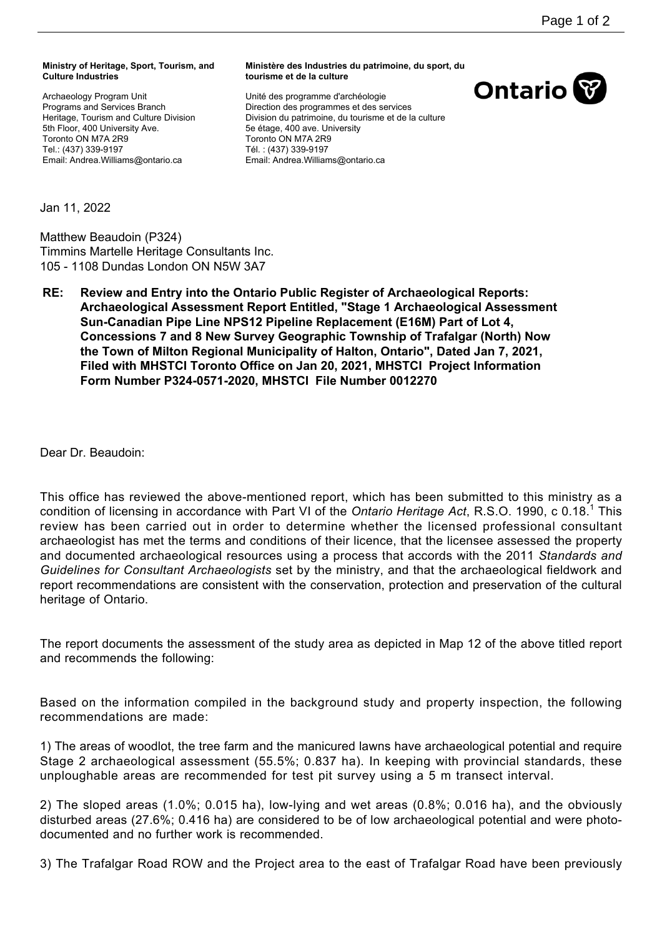## **Ministry of Heritage, Sport, Tourism, and Culture Industries**

Archaeology Program Unit Programs and Services Branch Heritage, Tourism and Culture Division 5th Floor, 400 University Ave. Toronto ON M7A 2R9 Tel.: (437) 339-9197 Email: Andrea.Williams@ontario.ca

## **Ministère des Industries du patrimoine, du sport, du tourisme et de la culture**

Unité des programme d'archéologie Direction des programmes et des services Division du patrimoine, du tourisme et de la culture 5e étage, 400 ave. University Toronto ON M7A 2R9 Tél. : (437) 339-9197 Email: Andrea.Williams@ontario.ca



Jan 11, 2022

Matthew Beaudoin (P324) Timmins Martelle Heritage Consultants Inc. 105 - 1108 Dundas London ON N5W 3A7

**RE: Review and Entry into the Ontario Public Register of Archaeological Reports: Archaeological Assessment Report Entitled, "Stage 1 Archaeological Assessment Sun-Canadian Pipe Line NPS12 Pipeline Replacement (E16M) Part of Lot 4, Concessions 7 and 8 New Survey Geographic Township of Trafalgar (North) Now the Town of Milton Regional Municipality of Halton, Ontario", Dated Jan 7, 2021, Filed with MHSTCI Toronto Office on Jan 20, 2021, MHSTCI Project Information Form Number P324-0571-2020, MHSTCI File Number 0012270**

Dear Dr. Beaudoin:

This office has reviewed the above-mentioned report, which has been submitted to this ministry as a condition of licensing in accordance with Part VI of the *Ontario Heritage Act*, R.S.O. 1990, c 0.18.<sup>1</sup> This review has been carried out in order to determine whether the licensed professional consultant archaeologist has met the terms and conditions of their licence, that the licensee assessed the property and documented archaeological resources using a process that accords with the 2011 *Standards and Guidelines for Consultant Archaeologists* set by the ministry, and that the archaeological fieldwork and report recommendations are consistent with the conservation, protection and preservation of the cultural heritage of Ontario.

The report documents the assessment of the study area as depicted in Map 12 of the above titled report and recommends the following:

Based on the information compiled in the background study and property inspection, the following recommendations are made:

1) The areas of woodlot, the tree farm and the manicured lawns have archaeological potential and require Stage 2 archaeological assessment (55.5%; 0.837 ha). In keeping with provincial standards, these unploughable areas are recommended for test pit survey using a 5 m transect interval.

2) The sloped areas (1.0%; 0.015 ha), low-lying and wet areas (0.8%; 0.016 ha), and the obviously disturbed areas (27.6%; 0.416 ha) are considered to be of low archaeological potential and were photodocumented and no further work is recommended.

3) The Trafalgar Road ROW and the Project area to the east of Trafalgar Road have been previously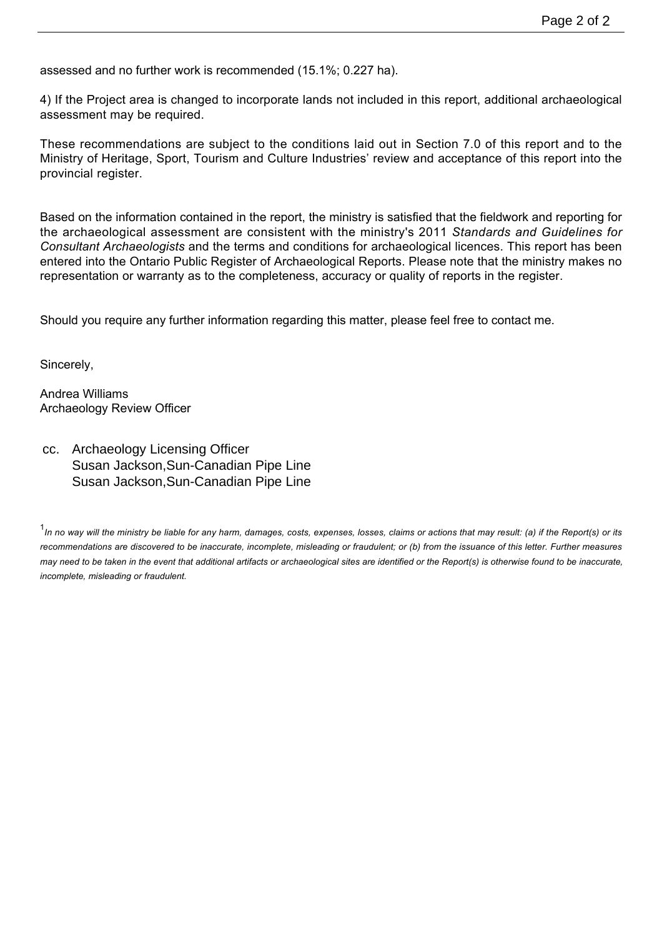assessed and no further work is recommended (15.1%; 0.227 ha).

4) If the Project area is changed to incorporate lands not included in this report, additional archaeological assessment may be required.

These recommendations are subject to the conditions laid out in Section 7.0 of this report and to the Ministry of Heritage, Sport, Tourism and Culture Industries' review and acceptance of this report into the provincial register.

Based on the information contained in the report, the ministry is satisfied that the fieldwork and reporting for the archaeological assessment are consistent with the ministry's 2011 *Standards and Guidelines for Consultant Archaeologists* and the terms and conditions for archaeological licences. This report has been entered into the Ontario Public Register of Archaeological Reports. Please note that the ministry makes no representation or warranty as to the completeness, accuracy or quality of reports in the register.

Should you require any further information regarding this matter, please feel free to contact me.

Sincerely,

Andrea Williams Archaeology Review Officer

cc. Archaeology Licensing Officer Susan Jackson,Sun-Canadian Pipe Line Susan Jackson,Sun-Canadian Pipe Line

<sup>&</sup>lt;sup>1</sup>In no way will the ministry be liable for any harm, damages, costs, expenses, losses, claims or actions that may result: (a) if the Report(s) or its *recommendations are discovered to be inaccurate, incomplete, misleading or fraudulent; or (b) from the issuance of this letter. Further measures may need to be taken in the event that additional artifacts or archaeological sites are identified or the Report(s) is otherwise found to be inaccurate, incomplete, misleading or fraudulent.*